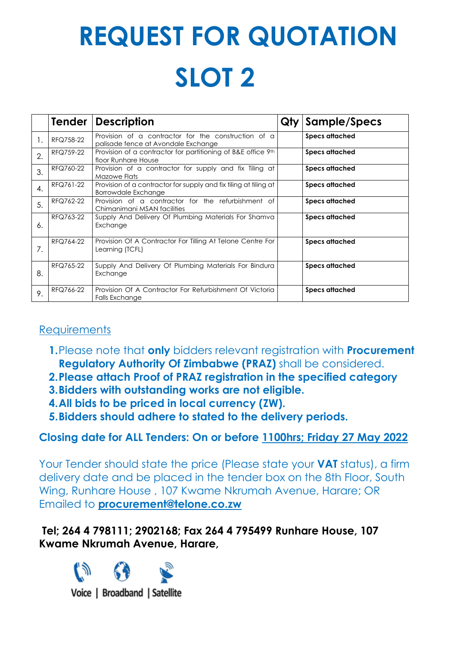# **REQUEST FOR QUOTATION SLOT 2**

|                  | <b>Tender</b> | <b>Description</b>                                                                         | Qty                   | Sample/Specs          |  |
|------------------|---------------|--------------------------------------------------------------------------------------------|-----------------------|-----------------------|--|
| 1.               | RFQ758-22     | Provision of a contractor for the construction of a<br>palisade fence at Avondale Exchange |                       | <b>Specs attached</b> |  |
| 2.               | RFQ759-22     | Provision of a contractor for partitioning of B&E office 9th<br>floor Runhare House        |                       | <b>Specs attached</b> |  |
| 3.               | RFQ760-22     | Provision of a contractor for supply and fix Tiling at<br>Mazowe Flats                     | <b>Specs attached</b> |                       |  |
| $\overline{4}$ . | RFQ761-22     | Provision of a contractor for supply and fix tiling at tiling at<br>Borrowdale Exchange    |                       | <b>Specs attached</b> |  |
| 5.               | RFQ762-22     | Provision of a contractor for the refurbishment of<br>Chimanimani MSAN facilities          |                       | <b>Specs attached</b> |  |
| 6.               | RFQ763-22     | Supply And Delivery Of Plumbing Materials For Shamva<br>Exchange                           |                       | <b>Specs attached</b> |  |
| 7.               | RFQ764-22     | Provision Of A Contractor For Tilling At Telone Centre For<br>Learning (TCFL)              |                       | <b>Specs attached</b> |  |
| 8.               | RFQ765-22     | Supply And Delivery Of Plumbing Materials For Bindura<br>Exchange                          |                       | <b>Specs attached</b> |  |
| 9.               | RFQ766-22     | Provision Of A Contractor For Refurbishment Of Victoria<br>Falls Exchange                  |                       | <b>Specs attached</b> |  |

## **Requirements**

- **1.**Please note that **only** bidders relevant registration with **Procurement Regulatory Authority Of Zimbabwe (PRAZ)** shall be considered.
- **2.Please attach Proof of PRAZ registration in the specified category**
- **3.Bidders with outstanding works are not eligible.**
- **4.All bids to be priced in local currency (ZW).**
- **5.Bidders should adhere to stated to the delivery periods.**

# **Closing date for ALL Tenders: On or before 1100hrs; Friday 27 May 2022**

Your Tender should state the price (Please state your **VAT** status), a firm delivery date and be placed in the tender box on the 8th Floor, South Wing, Runhare House , 107 Kwame Nkrumah Avenue, Harare; OR Emailed to **procurement@telone.co.zw**

## **Tel; 264 4 798111; 2902168; Fax 264 4 795499 Runhare House, 107 Kwame Nkrumah Avenue, Harare,**

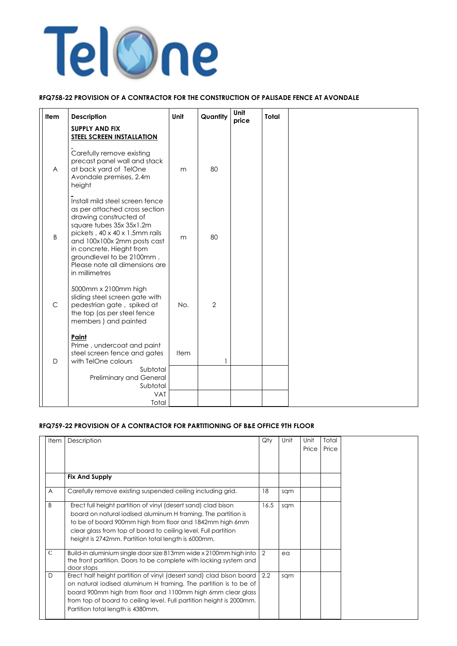

#### **RFQ758-22 PROVISION OF A CONTRACTOR FOR THE CONSTRUCTION OF PALISADE FENCE AT AVONDALE**

| <b>Item</b>    | <b>Description</b>                                                                                                                                                                                                                                                                                   | Unit | Quantity       | Unit<br>price | <b>Total</b> |  |
|----------------|------------------------------------------------------------------------------------------------------------------------------------------------------------------------------------------------------------------------------------------------------------------------------------------------------|------|----------------|---------------|--------------|--|
|                | <b>SUPPLY AND FIX</b><br><b>STEEL SCREEN INSTALLATION</b>                                                                                                                                                                                                                                            |      |                |               |              |  |
| $\overline{A}$ | Carefully remove existing<br>precast panel wall and stack<br>at back yard of TelOne<br>Avondale premises, 2.4m<br>height                                                                                                                                                                             | m    | 80             |               |              |  |
| B              | Install mild steel screen fence<br>as per attached cross section<br>drawing constructed of<br>square tubes 35x 35x1.2m<br>pickets, 40 x 40 x 1.5mm rails<br>and 100x100x 2mm posts cast<br>in concrete. Hieght from<br>groundlevel to be 2100mm.<br>Please note all dimensions are<br>in millimetres | m    | 80             |               |              |  |
| $\mathsf{C}$   | 5000mm x 2100mm high<br>sliding steel screen gate with<br>pedestrian gate, spiked at<br>the top (as per steel fence<br>members) and painted                                                                                                                                                          | No.  | $\overline{2}$ |               |              |  |
| D              | Paint<br>Prime, undercoat and paint<br>steel screen fence and gates<br>with TelOne colours<br>Subtotal<br>Preliminary and General<br>Subtotal<br><b>VAT</b>                                                                                                                                          | Item |                |               |              |  |
|                | Total                                                                                                                                                                                                                                                                                                |      |                |               |              |  |

#### **RFQ759-22 PROVISION OF A CONTRACTOR FOR PARTITIONING OF B&E OFFICE 9TH FLOOR**

| Item $ $ | Description           | Qty | Unit | Unit<br>Price | Total<br>Price |
|----------|-----------------------|-----|------|---------------|----------------|
|          | <b>Fix And Supply</b> |     |      |               |                |

| A           | Carefully remove existing suspended ceiling including grid.                                                                                                                                                                                                                                                             | 18   | sqm |  |
|-------------|-------------------------------------------------------------------------------------------------------------------------------------------------------------------------------------------------------------------------------------------------------------------------------------------------------------------------|------|-----|--|
| B           | Erect full height partition of vinyl (desert sand) clad bison<br>board on natural iodised aluminum H framing. The partition is<br>to be of board 900mm high from floor and 1842mm high 6mm<br>clear glass from top of board to ceiling level. Full partition<br>height is 2742mm. Partition total length is 6000mm,     | 16.5 | sqm |  |
| $\mathbf C$ | Build-in aluminium single door size 813mm wide x 2100mm high into<br>the front partition. Doors to be complete with locking system and<br>door stops                                                                                                                                                                    | 2    | ea  |  |
| D           | Erect half height partition of vinyl (desert sand) clad bison board 2.2<br>on natural iodised aluminum H framing. The partition is to be of<br>board 900mm high from floor and 1100mm high 6mm clear glass<br>from top of board to ceiling level. Full partition height is 2000mm.<br>Partition total length is 4380mm, |      | sqm |  |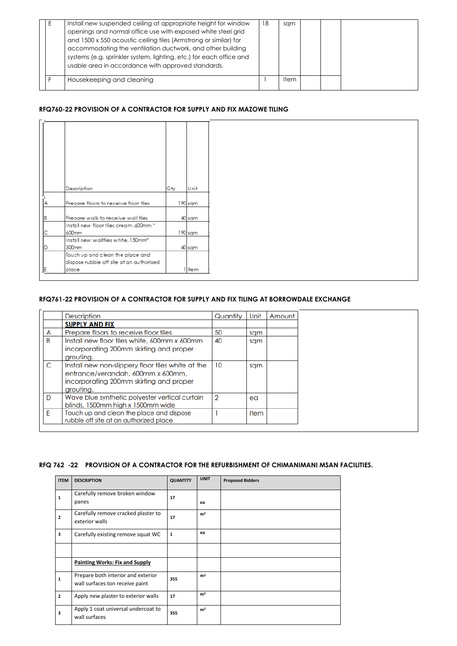|  | Install new suspended ceiling at appropriate height for window<br>openings and normal office use with exposed white steel grid<br>and 1500 x 550 acoustic ceiling tiles (Armstrong or similar) for<br>accommodating the ventilation ductwork, and other building<br>systems (e.g. sprinkler system, lighting, etc.) for each office and<br>usable area in accordance with approved standards. | 18 | sqm   |  |  |  |
|--|-----------------------------------------------------------------------------------------------------------------------------------------------------------------------------------------------------------------------------------------------------------------------------------------------------------------------------------------------------------------------------------------------|----|-------|--|--|--|
|  | Housekeeping and cleaning                                                                                                                                                                                                                                                                                                                                                                     |    | ltem. |  |  |  |

#### **RFQ760-22 PROVISION OF A CONTRACTOR FOR SUPPLY AND FIX MAZOWE TILING**

|          | Description                              | Qty | Unit    |
|----------|------------------------------------------|-----|---------|
|          |                                          |     |         |
| IA       | Prepare floors to receive floor tiles    |     | 190 sqm |
|          |                                          |     |         |
| <b>B</b> | Prepare walls to receive wall tiles      |     | 40 sqm  |
|          | Install new floor tiles cream ,600mm *   |     |         |
|          |                                          |     |         |
| C        | 600mm                                    |     | 190 sqm |
|          | Install new walltiles white, 150mm*      |     |         |
| ID       | 300mm                                    |     | 40 sqm  |
|          | Touch up and clean the place and         |     |         |
|          | dispose rubble off site at an authorised |     |         |
| IE       | place                                    |     | 1  item |

#### **RFQ761-22 PROVISION OF A CONTRACTOR FOR SUPPLY AND FIX TILING AT BORROWDALE EXCHANGE**

|   | <b>Description</b>                                                                                                                             | Quantity       | Unit        | Amount |
|---|------------------------------------------------------------------------------------------------------------------------------------------------|----------------|-------------|--------|
|   | <b>SUPPLY AND FIX</b>                                                                                                                          |                |             |        |
| A | Prepare floors to receive floor tiles                                                                                                          | 50             | sqm         |        |
| B | Install new floor tiles white, 600mm x 600mm<br>incorporating 200mm skirting and proper<br>grouting.                                           | 40             | sqm         |        |
| C | Install new non-slippery floor tiles white at the<br>entrance/verandah, 600mm x 600mm,<br>incorporating 200mm skirting and proper<br>grouting. | 10             | sqm         |        |
| D | Wave blue synthetic polyester vertical curtain<br>blinds, 1500mm high x 1500mm wide                                                            | $\overline{2}$ | ea          |        |
| E | Touch up and clean the place and dispose<br>rubble off site at an authorized place                                                             |                | <b>Item</b> |        |

#### **RFQ 762 -22 PROVISION OF A CONTRACTOR FOR THE REFURBISHMENT OF CHIMANIMANI MSAN FACILITIES.**

|  | <b>ITEM   DESCRIPTION</b> | <b>QUANTITY</b> | <b>UNIT</b> | <b>Proposed Bidders</b> |
|--|---------------------------|-----------------|-------------|-------------------------|
|--|---------------------------|-----------------|-------------|-------------------------|

| $\mathbf{1}$            | Carefully remove broken window<br>panes                               | 17           | ea             |  |
|-------------------------|-----------------------------------------------------------------------|--------------|----------------|--|
| $\overline{2}$          | Carefully remove cracked plaster to<br>exterior walls                 | 17           | m <sup>2</sup> |  |
| $\overline{\mathbf{3}}$ | Carefully existing remove squat WC                                    | $\mathbf{1}$ | ea             |  |
|                         |                                                                       |              |                |  |
|                         | <b>Painting Works: Fix and Supply</b>                                 |              |                |  |
| 1                       | Prepare both interior and exterior<br>wall surfaces ton receive paint | 355          | m <sup>2</sup> |  |
| $\overline{2}$          | Apply new plaster to exterior walls                                   | 17           | m <sup>2</sup> |  |
| 3                       | Apply 1 coat universal undercoat to<br>wall surfaces                  | 355          | m <sup>2</sup> |  |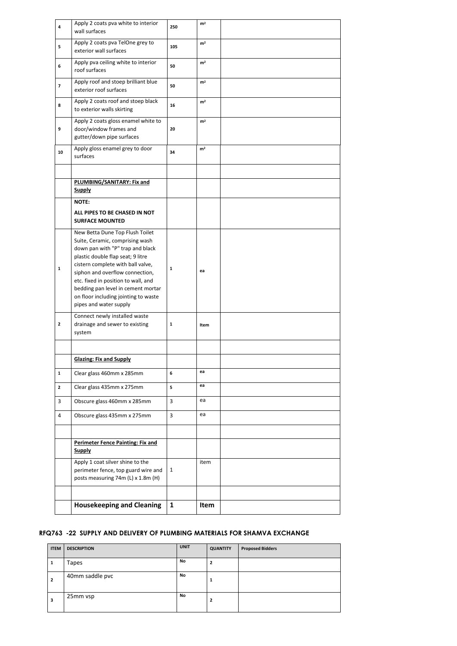| 4                       | Apply 2 coats pva white to interior<br>wall surfaces                                                                                                                                                                                                                                                                                                               | 250          | m <sup>2</sup> |  |
|-------------------------|--------------------------------------------------------------------------------------------------------------------------------------------------------------------------------------------------------------------------------------------------------------------------------------------------------------------------------------------------------------------|--------------|----------------|--|
| 5                       | Apply 2 coats pva TelOne grey to<br>exterior wall surfaces                                                                                                                                                                                                                                                                                                         | 105          | m <sup>2</sup> |  |
| 6                       | Apply pva ceiling white to interior<br>roof surfaces                                                                                                                                                                                                                                                                                                               | 50           | m <sup>2</sup> |  |
| $\overline{\mathbf{z}}$ | Apply roof and stoep brilliant blue<br>exterior roof surfaces                                                                                                                                                                                                                                                                                                      | 50           | m <sup>2</sup> |  |
| 8                       | Apply 2 coats roof and stoep black<br>to exterior walls skirting                                                                                                                                                                                                                                                                                                   | 16           | m <sup>2</sup> |  |
| 9                       | Apply 2 coats gloss enamel white to<br>door/window frames and<br>gutter/down pipe surfaces                                                                                                                                                                                                                                                                         | 20           | m <sup>2</sup> |  |
| 10                      | Apply gloss enamel grey to door<br>surfaces                                                                                                                                                                                                                                                                                                                        | 34           | m <sup>2</sup> |  |
|                         |                                                                                                                                                                                                                                                                                                                                                                    |              |                |  |
|                         | PLUMBING/SANITARY: Fix and<br><b>Supply</b>                                                                                                                                                                                                                                                                                                                        |              |                |  |
|                         | <b>NOTE:</b>                                                                                                                                                                                                                                                                                                                                                       |              |                |  |
|                         | ALL PIPES TO BE CHASED IN NOT<br><b>SURFACE MOUNTED</b>                                                                                                                                                                                                                                                                                                            |              |                |  |
| $\mathbf{1}$            | New Betta Dune Top Flush Toilet<br>Suite, Ceramic, comprising wash<br>down pan with "P" trap and black<br>plastic double flap seat; 9 litre<br>cistern complete with ball valve,<br>siphon and overflow connection,<br>etc. fixed in position to wall, and<br>bedding pan level in cement mortar<br>on floor including jointing to waste<br>pipes and water supply | $\mathbf{1}$ | ea             |  |
| $\mathbf{2}$            | Connect newly installed waste<br>drainage and sewer to existing<br>system                                                                                                                                                                                                                                                                                          | 1            | Item           |  |
|                         |                                                                                                                                                                                                                                                                                                                                                                    |              |                |  |
|                         | <b>Glazing: Fix and Supply</b>                                                                                                                                                                                                                                                                                                                                     |              |                |  |
| $\mathbf{1}$            | Clear glass 460mm x 285mm                                                                                                                                                                                                                                                                                                                                          | 6            | ea             |  |
| $\mathbf{2}$            | Clear glass 435mm x 275mm                                                                                                                                                                                                                                                                                                                                          | 5            | ea             |  |
| 3                       | Obscure glass 460mm x 285mm                                                                                                                                                                                                                                                                                                                                        | 3            | ea             |  |
| $\overline{4}$          | Obscure glass 435mm x 275mm                                                                                                                                                                                                                                                                                                                                        | 3            | ea             |  |
|                         |                                                                                                                                                                                                                                                                                                                                                                    |              |                |  |
|                         | <b>Perimeter Fence Painting: Fix and</b><br><b>Supply</b>                                                                                                                                                                                                                                                                                                          |              |                |  |
|                         | Apply 1 coat silver shine to the<br>perimeter fence, top guard wire and<br>posts measuring 74m (L) x 1.8m (H)                                                                                                                                                                                                                                                      | 1            | item           |  |
|                         |                                                                                                                                                                                                                                                                                                                                                                    |              |                |  |
|                         | <b>Housekeeping and Cleaning</b>                                                                                                                                                                                                                                                                                                                                   | $\mathbf{1}$ | Item           |  |

#### **RFQ763 -22 SUPPLY AND DELIVERY OF PLUMBING MATERIALS FOR SHAMVA EXCHANGE**

| <b>ITEM</b>    | <b>DESCRIPTION</b> | <b>UNIT</b> | <b>QUANTITY</b> | <b>Proposed Bidders</b> |
|----------------|--------------------|-------------|-----------------|-------------------------|
| 1              | Tapes              | No          | 2               |                         |
| $\overline{2}$ | 40mm saddle pvc    | No          |                 |                         |
| 3              | 25mm vsp           | No          | 2               |                         |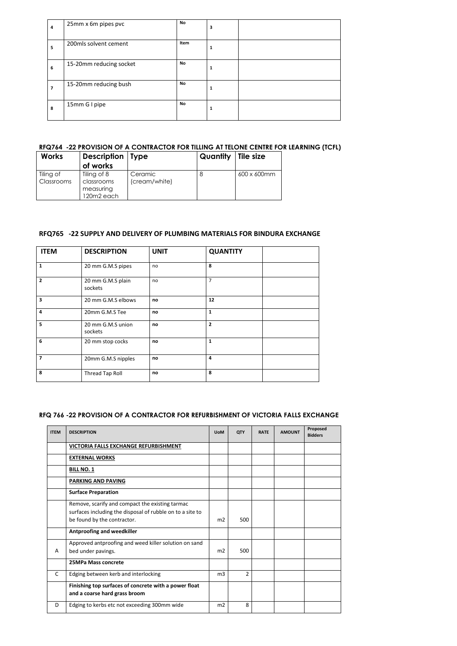| 4 | 25mm x 6m pipes pvc     | No   | 3 |  |
|---|-------------------------|------|---|--|
| 5 | 200mls solvent cement   | Item | 1 |  |
| 6 | 15-20mm reducing socket | No   | 1 |  |
| 7 | 15-20mm reducing bush   | No   | 1 |  |
| 8 | 15mm G I pipe           | No.  | 1 |  |

## **RFQ764 -22 PROVISION OF A CONTRACTOR FOR TILLING AT TELONE CENTRE FOR LEARNING (TCFL)**

| <b>Works</b>            | <b>Description</b>   Type<br>of works                |                          | <b>Quantity</b> Tile size |             |
|-------------------------|------------------------------------------------------|--------------------------|---------------------------|-------------|
| Tiling of<br>Classrooms | Tiling of 8<br>classrooms<br>measuring<br>120m2 each | Ceramic<br>(cream/white) |                           | 600 x 600mm |

#### **RFQ765 -22 SUPPLY AND DELIVERY OF PLUMBING MATERIALS FOR BINDURA EXCHANGE**

| <b>ITEM</b>    | <b>DESCRIPTION</b>           | <b>UNIT</b> | <b>QUANTITY</b> |  |
|----------------|------------------------------|-------------|-----------------|--|
| 1              | 20 mm G.M.S pipes            | no          | 8               |  |
| $\overline{2}$ | 20 mm G.M.S plain<br>sockets | no          | 7               |  |
| 3              | 20 mm G.M.S elbows           | no          | 12              |  |
| 4              | 20mm G.M.S Tee               | no          | $\mathbf{1}$    |  |
| 5              | 20 mm G.M.S union<br>sockets | no          | $\overline{2}$  |  |
| 6              | 20 mm stop cocks             | no          | $\mathbf{1}$    |  |
| 7              | 20mm G.M.S nipples           | no          | $\overline{4}$  |  |
| 8              | <b>Thread Tap Roll</b>       | no          | 8               |  |

## **RFQ 766 -22 PROVISION OF A CONTRACTOR FOR REFURBISHMENT OF VICTORIA FALLS EXCHANGE**

| <b>ITEM</b> | <b>DESCRIPTION</b>                                                                     | <b>UoM</b>     | <b>QTY</b>     | <b>RATE</b> | <b>AMOUNT</b> | Proposed<br><b>Bidders</b> |
|-------------|----------------------------------------------------------------------------------------|----------------|----------------|-------------|---------------|----------------------------|
|             | VICTORIA FALLS EXCHANGE REFURBISHMENT                                                  |                |                |             |               |                            |
|             | <b>EXTERNAL WORKS</b>                                                                  |                |                |             |               |                            |
|             | <b>BILL NO. 1</b>                                                                      |                |                |             |               |                            |
|             | <b>PARKING AND PAVING</b>                                                              |                |                |             |               |                            |
|             | <b>Surface Preparation</b>                                                             |                |                |             |               |                            |
|             | Remove, scarify and compact the existing tarmac                                        |                |                |             |               |                            |
|             | surfaces including the disposal of rubble on to a site to                              |                |                |             |               |                            |
|             | be found by the contractor.                                                            | m <sub>2</sub> | 500            |             |               |                            |
|             | <b>Antproofing and weedkiller</b>                                                      |                |                |             |               |                            |
|             | Approved antproofing and weed killer solution on sand                                  |                |                |             |               |                            |
| A           | bed under pavings.                                                                     | m <sub>2</sub> | 500            |             |               |                            |
|             | 25MPa Mass concrete                                                                    |                |                |             |               |                            |
| C           | Edging between kerb and interlocking                                                   | m <sub>3</sub> | $\overline{2}$ |             |               |                            |
|             | Finishing top surfaces of concrete with a power float<br>and a coarse hard grass broom |                |                |             |               |                            |
| D           | Edging to kerbs etc not exceeding 300mm wide                                           | m <sub>2</sub> | 8              |             |               |                            |